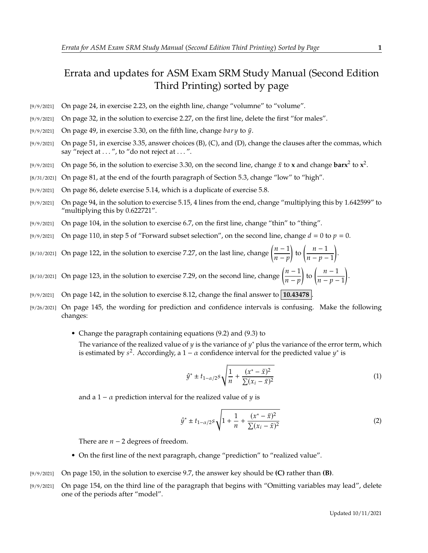## Errata and updates for ASM Exam SRM Study Manual (Second Edition Third Printing) sorted by page

- [9/9/2021] On page 24, in exercise 2.23, on the eighth line, change "volumne" to "volume".
- [9/9/2021] On page 32, in the solution to exercise 2.27, on the first line, delete the first "for males".
- [9/9/2021] On page 49, in exercise 3.30, on the fifth line, change  $bary$  to  $\bar{y}$ .
- [9/9/2021] On page 51, in exercise 3.35, answer choices (B), (C), and (D), change the clauses after the commas, which say "reject at ...", to "do not reject at ...".
- [9/9/2021] On page 56, in the solution to exercise 3.30, on the second line, change  $\bar{x}$  to **x** and change  $\text{bar}x^2$  to  $x^2$ .
- [8/31/2021] On page 81, at the end of the fourth paragraph of Section 5.3, change "low" to "high".
- [9/9/2021] On page 86, delete exercise 5.14, which is a duplicate of exercise 5.8.
- [9/9/2021] On page 94, in the solution to exercise 5.15, 4 lines from the end, change "multiplying this by 1.642599" to "multiplying this by 0.622721".
- [9/9/2021] On page 104, in the solution to exercise 6.7, on the first line, change "thin" to "thing".
- [9/9/2021] On page 110, in step 5 of "Forward subset selection", on the second line, change  $d = 0$  to  $p = 0$ .
- [8/10/2021] On page 122, in the solution to exercise 7.27, on the last line, change  $\left(\frac{n-1}{n-m}\right)$  $\frac{n-p}{p}$ to  $\left(\frac{n-1}{n}\right)$  $\frac{n-p-1}{p-1}$ .
- [8/10/2021] On page 123, in the solution to exercise 7.29, on the second line, change  $\left(\frac{n-1}{n}\right)$  $\frac{n-p}{p}$ to  $\left(\frac{n-1}{n}\right)$  $\overline{n-p-1}$ .
- [9/9/2021] On page 142, in the solution to exercise 8.12, change the final answer to **10.43478** .
- [9/26/2021] On page 145, the wording for prediction and confidence intervals is confusing. Make the following changes:
	- Change the paragraph containing equations (9.2) and (9.3) to The variance of the realized value of y is the variance of y<sup>\*</sup> plus the variance of the error term, which is estimated by  $s^2$ , Accordingly a 1 –  $\alpha$  confidence interval for the predicted value  $y^*$  is is estimated by  $s^2$ . Accordingly, a  $1 - \alpha$  confidence interval for the predicted value  $y^*$  is

$$
\hat{y}^* \pm t_{1-\alpha/2} s \sqrt{\frac{1}{n} + \frac{(x^* - \bar{x})^2}{\sum (x_i - \bar{x})^2}}
$$
(1)

and a 1 –  $\alpha$  prediction interval for the realized value of  $\gamma$  is

$$
\hat{y}^* \pm t_{1-\alpha/2} s \sqrt{1 + \frac{1}{n} + \frac{(x^* - \bar{x})^2}{\sum (x_i - \bar{x})^2}}
$$
(2)

There are  $n - 2$  degrees of freedom.

- On the first line of the next paragraph, change "prediction" to "realized value".
- [9/9/2021] On page 150, in the solution to exercise 9.7, the answer key should be **(C)** rather than **(B)**.
- [9/9/2021] On page 154, on the third line of the paragraph that begins with "Omitting variables may lead", delete one of the periods after "model".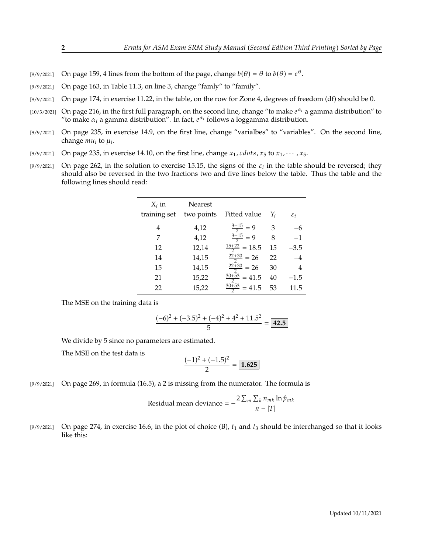[9/9/2021] On page 159, 4 lines from the bottom of the page, change  $b(\theta) = \theta$  to  $b(\theta) = e^{\theta}$ .

- [9/9/2021] On page 163, in Table 11.3, on line 3, change "famly" to "family".
- [9/9/2021] On page 174, in exercise 11.22, in the table, on the row for Zone 4, degrees of freedom (df) should be 0.
- [10/3/2021] On page 216, in the first full paragraph, on the second line, change "to make  $e^{\alpha_i}$  a gamma distribution" to "to make  $\alpha_i$  a gamma distribution". In fact  $e^{\alpha_i}$  follows a loggamma distribution "to make  $\alpha_i$  a gamma distribution". In fact,  $e^{\alpha_i}$  follows a loggamma distribution.
- [9/9/2021] On page 235, in exercise 14.9, on the first line, change "varialbes" to "variables". On the second line, change  $mu_i$  to  $\mu_i$ .
- [9/9/2021] On page 235, in exercise 14.10, on the first line, change  $x_1$ , cdots,  $x_5$  to  $x_1$ ,  $\cdots$ ,  $x_5$ .
- [9/9/2021] On page 262, in the solution to exercise 15.15, the signs of the  $\varepsilon_i$  in the table should be reversed; they should also be reversed in the two fractions two and five lines below the table. Thus the table and should also be reversed in the two fractions two and five lines below the table. Thus the table and the following lines should read:

| $X_i$ in     | <b>Nearest</b> |                          |       |                 |
|--------------|----------------|--------------------------|-------|-----------------|
| training set | two points     | Fitted value             | $Y_i$ | $\varepsilon_i$ |
| 4            | 4,12           | $\frac{3+15}{2} = 9$     | 3     |                 |
| 7            | 4,12           | $\frac{3+15}{2} = 9$     | 8     | $-1$            |
| 12           | 12,14          | $\frac{15+22}{2} = 18.5$ | 15    | $-3.5$          |
| 14           | 14,15          | $\frac{22+30}{2}$ = 26   | 22    | $-4$            |
| 15           | 14,15          | $\frac{22+30}{2}$ = 26   | 30    | 4               |
| 21           | 15,22          | $\frac{30+53}{2}$ = 41.5 | 40    | $-1.5$          |
| 22           | 15,22          | $\frac{30+53}{2}$ = 41.5 | 53    | 11.5            |

The MSE on the training data is

$$
\frac{(-6)^2 + (-3.5)^2 + (-4)^2 + 4^2 + 11.5^2}{5} = \boxed{42.5}
$$

We divide by 5 since no parameters are estimated.

The MSE on the test data is

$$
\frac{(-1)^2 + (-1.5)^2}{2} = \boxed{1.625}
$$

[9/9/2021] On page 269, in formula (16.5), a 2 is missing from the numerator. The formula is

Residual mean deviance = 
$$
-\frac{2\sum_{m}\sum_{k}n_{mk}\ln\hat{p}_{mk}}{n-|T|}
$$

[9/9/2021] On page 274, in exercise 16.6, in the plot of choice (B),  $t_1$  and  $t_3$  should be interchanged so that it looks like this: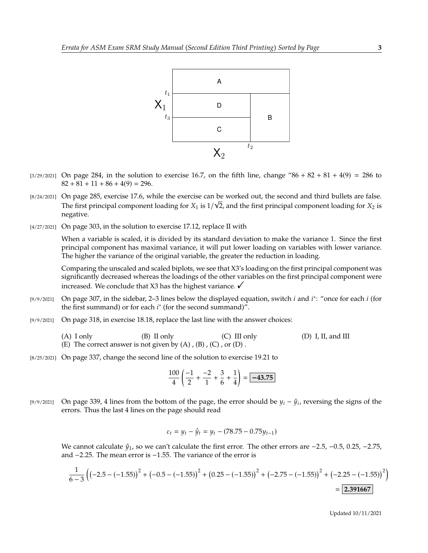

- $[3/29/2021]$  On page 284, in the solution to exercise 16.7, on the fifth line, change "86 + 82 + 81 + 4(9) = 286 to  $82 + 81 + 11 + 86 + 4(9) = 296.$
- [8/24/2021] On page 285, exercise 17.6, while the exercise can be worked out, the second and third bullets are false. √ The first principal component loading for  $X_1$  is  $1/\sqrt{2}$ , and the first principal component loading for  $X_2$  is negative negative.
- [4/27/2021] On page 303, in the solution to exercise 17.12, replace II with

When a variable is scaled, it is divided by its standard deviation to make the variance 1. Since the first principal component has maximal variance, it will put lower loading on variables with lower variance. The higher the variance of the original variable, the greater the reduction in loading.

Comparing the unscaled and scaled biplots, we see that X3's loading on the first principal component was significantly decreased whereas the loadings of the other variables on the first principal component were increased. We conclude that X3 has the highest variance.  $\checkmark$ 

- [9/9/2021] On page 307, in the sidebar, 2–3 lines below the displayed equation, switch *i* and *i*<sup>\*</sup>: "once for each *i* (for the first summand) or for each *i*<sup>\*</sup> (for the second summand)" the first summand) or for each  $i^*$  (for the second summand)".
- [9/9/2021] On page 318, in exercise 18.18, replace the last line with the answer choices:
	- (A) I only  $(B)$  II only  $(C)$  III only  $(D)$  I, II, and III (E) The correct answer is not given by  $(A)$ ,  $(B)$ ,  $(C)$ , or  $(D)$ .
- [8/25/2021] On page 337, change the second line of the solution to exercise 19.21 to

$$
\frac{100}{4} \left( \frac{-1}{2} + \frac{-2}{1} + \frac{3}{6} + \frac{1}{4} \right) = \boxed{-43.75}
$$

[9/9/2021] On page 339, 4 lines from the bottom of the page, the error should be  $y_i - \hat{y}_i$ , reversing the signs of the errors. Thus the last 4 lines on the page should read errors. Thus the last 4 lines on the page should read

$$
\varepsilon_t = y_t - \hat{y}_t = y_t - (78.75 - 0.75y_{t-1})
$$

We cannot calculate  $\hat{y}_1$ , so we can't calculate the first error. The other errors are  $-2.5$ ,  $-0.5$ , 0.25,  $-2.75$ , and <sup>−</sup>2.25. The mean error is <sup>−</sup>1.55. The variance of the error is

$$
\frac{1}{6-3}\left(\left(-2.5 - \left(-1.55\right)\right)^2 + \left(-0.5 - \left(-1.55\right)\right)^2 + \left(0.25 - \left(-1.55\right)\right)^2 + \left(-2.75 - \left(-1.55\right)\right)^2 + \left(-2.25 - \left(-1.55\right)\right)^2\right)
$$
\n
$$
= 2.391667
$$

Updated 10/11/2021